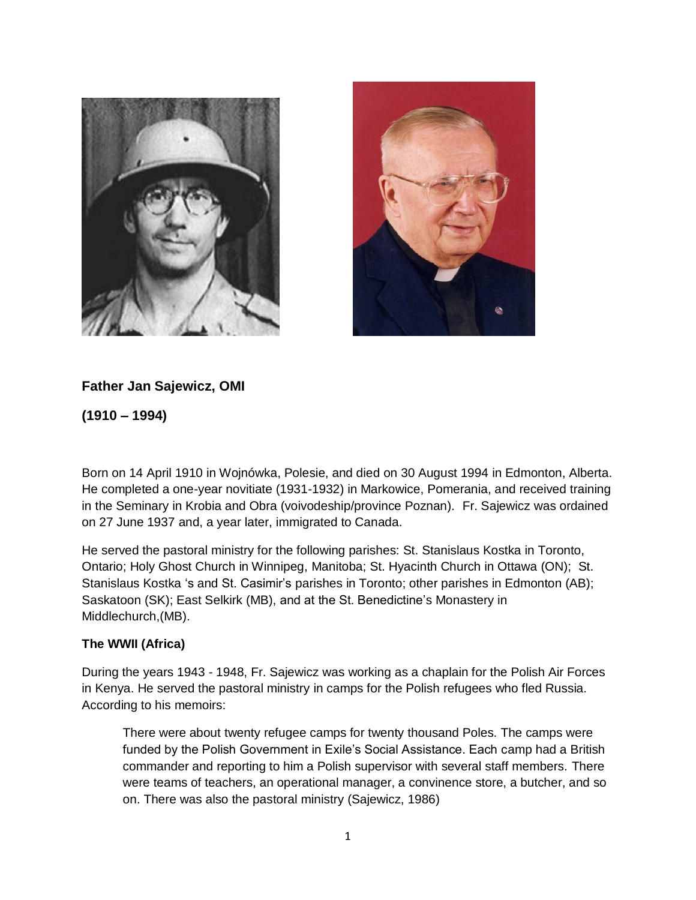



## **Father Jan Sajewicz, OMI**

**(1910 – 1994)**

Born on 14 April 1910 in Wojnówka, Polesie, and died on 30 August 1994 in Edmonton, Alberta. He completed a one-year novitiate (1931-1932) in Markowice, Pomerania, and received training in the Seminary in Krobia and Obra (voivodeship/province Poznan). Fr. Sajewicz was ordained on 27 June 1937 and, a year later, immigrated to Canada.

He served the pastoral ministry for the following parishes: St. Stanislaus Kostka in Toronto, Ontario; Holy Ghost Church in Winnipeg, Manitoba; St. Hyacinth Church in Ottawa (ON); St. Stanislaus Kostka 's and St. Casimir's parishes in Toronto; other parishes in Edmonton (AB); Saskatoon (SK); East Selkirk (MB), and at the St. Benedictine's Monastery in Middlechurch,(MB).

## **The WWII (Africa)**

During the years 1943 - 1948, Fr. Sajewicz was working as a chaplain for the Polish Air Forces in Kenya. He served the pastoral ministry in camps for the Polish refugees who fled Russia. According to his memoirs:

There were about twenty refugee camps for twenty thousand Poles. The camps were funded by the Polish Government in Exile's Social Assistance. Each camp had a British commander and reporting to him a Polish supervisor with several staff members. There were teams of teachers, an operational manager, a convinence store, a butcher, and so on. There was also the pastoral ministry (Sajewicz, 1986)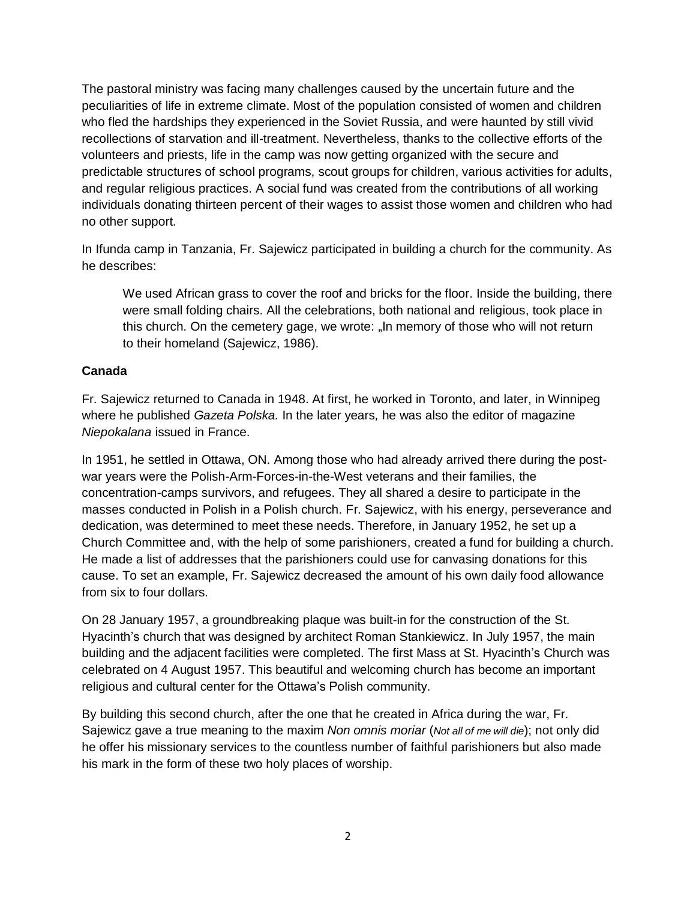The pastoral ministry was facing many challenges caused by the uncertain future and the peculiarities of life in extreme climate. Most of the population consisted of women and children who fled the hardships they experienced in the Soviet Russia, and were haunted by still vivid recollections of starvation and ill-treatment. Nevertheless, thanks to the collective efforts of the volunteers and priests, life in the camp was now getting organized with the secure and predictable structures of school programs, scout groups for children, various activities for adults, and regular religious practices. A social fund was created from the contributions of all working individuals donating thirteen percent of their wages to assist those women and children who had no other support.

In Ifunda camp in Tanzania, Fr. Sajewicz participated in building a church for the community. As he describes:

We used African grass to cover the roof and bricks for the floor. Inside the building, there were small folding chairs. All the celebrations, both national and religious, took place in this church. On the cemetery gage, we wrote: "In memory of those who will not return to their homeland (Sajewicz, 1986).

## **Canada**

Fr. Sajewicz returned to Canada in 1948. At first, he worked in Toronto, and later, in Winnipeg where he published *Gazeta Polska.* In the later years*,* he was also the editor of magazine *Niepokalana* issued in France.

In 1951, he settled in Ottawa, ON. Among those who had already arrived there during the postwar years were the Polish-Arm-Forces-in-the-West veterans and their families, the concentration-camps survivors, and refugees. They all shared a desire to participate in the masses conducted in Polish in a Polish church. Fr. Sajewicz, with his energy, perseverance and dedication, was determined to meet these needs. Therefore, in January 1952, he set up a Church Committee and, with the help of some parishioners, created a fund for building a church. He made a list of addresses that the parishioners could use for canvasing donations for this cause. To set an example, Fr. Sajewicz decreased the amount of his own daily food allowance from six to four dollars.

On 28 January 1957, a groundbreaking plaque was built-in for the construction of the St. Hyacinth's church that was designed by architect Roman Stankiewicz. In July 1957, the main building and the adjacent facilities were completed. The first Mass at St. Hyacinth's Church was celebrated on 4 August 1957. This beautiful and welcoming church has become an important religious and cultural center for the Ottawa's Polish community.

By building this second church, after the one that he created in Africa during the war, Fr. Sajewicz gave a true meaning to the maxim *Non omnis moriar* (*Not all of me will die*); not only did he offer his missionary services to the countless number of faithful parishioners but also made his mark in the form of these two holy places of worship.